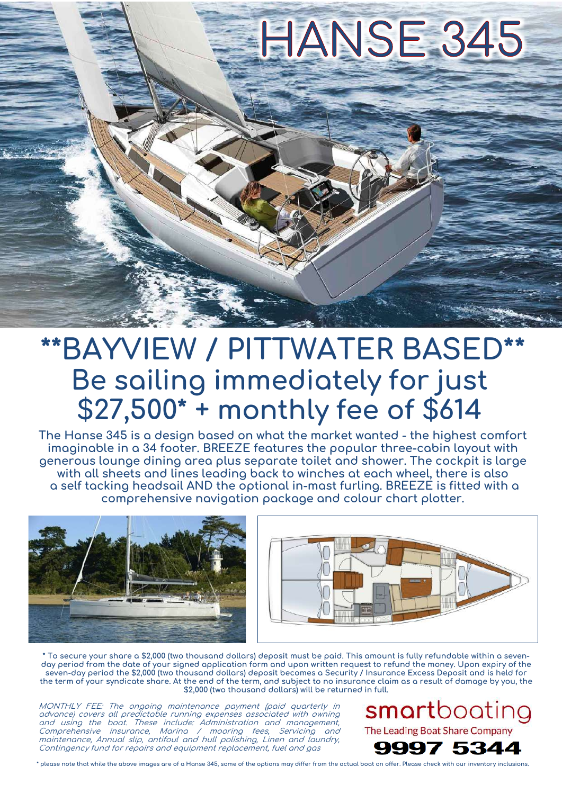

# **\*\*BAYVIEW / PITTWATER BASED\*\* Be sailing immediately for just \$27,500\* + monthly fee of \$614**

**The Hanse 345 is a design based on what the market wanted - the highest comfort imaginable in a 34 footer. BREEZE features the popular three-cabin layout with generous lounge dining area plus separate toilet and shower. The cockpit is large with all sheets and lines leading back to winches at each wheel, there is also a self tacking headsail AND the optional in-mast furling. BREEZE is fitted with a comprehensive navigation package and colour chart plotter.**





**\* To secure your share a \$2,000 (two thousand dollars) deposit must be paid. This amount is fully refundable within a seven**day period from the date of your signed application form and upon written request to refund the money. Upon expiry of the **seven-day period the \$2,000 (two thousand dollars) deposit becomes a Security / Insurance Excess Deposit and is held for the term of your syndicate share. At the end of the term, and subject to no insurance claim as a result of damage by you, the \$2,000 (two thousand dollars) will be returned in full.**

MONTHLY FEE: The ongoing maintenance payment (paid quarterly in advance) covers all predictable running expenses associated with owning and using the boat. These include: Administration and management, Comprehensive insurance, Marina / mooring fees, Servicing and maintenance, Annual slip, antifoul and hull polishing, Linen and laundry, Contingency fund for repairs and equipment replacement, fuel and gas

smartboating The Leading Boat Share Company



**\* please note that while the above images are of a Hanse 345, some of the options may differ from the actual boat on offer. Please check with our inventory inclusions.**